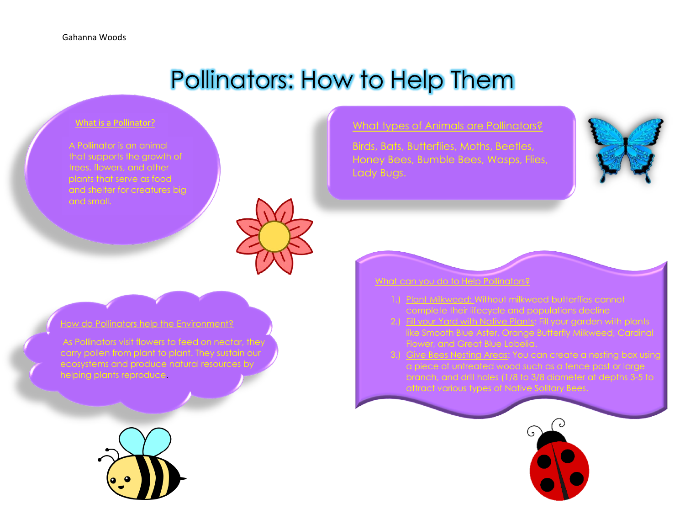## Pollinators: How to Help Them

## What is a Pollinator?

A Pollinator is an animal that supports the growth of trees, flowers, and other plants that serve as food and shelter for creatures big and small.



 $w$  do Pollinators help the Environment?

As Pollinators visit flowers to feed on nectar, they carry pollen from plant to plant. They sustain our ecosystems and produce natural resources by helping plants reproduce.



What types of Animals are Pollinators?

Birds, Bats, Butterflies, Moths, Beetles, Honey Bees, Bumble Bees, Wasps, Flies, Lady Bugs.





- 1.) Plant Milkweed: Without milkweed butterflies cannot complete their lifecycle and populations decline
- 2.) Fill your Yard with Native Plants: Fill your garden with plants like Smooth Blue Aster, Orange Butterfly Milkweed, Cardinal Flower, and Great Blue Lobelia.
- 3.) Give Bees Nesting Areas: You can create a nesting box using a piece of untreated wood such as a fence post or large branch, and drill holes (1/8 to 3/8 diameter at depths 3-5 to

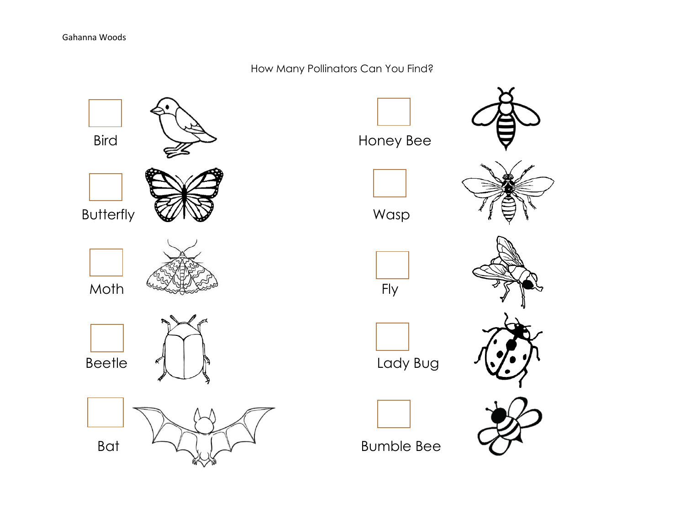How Many Pollinators Can You Find?